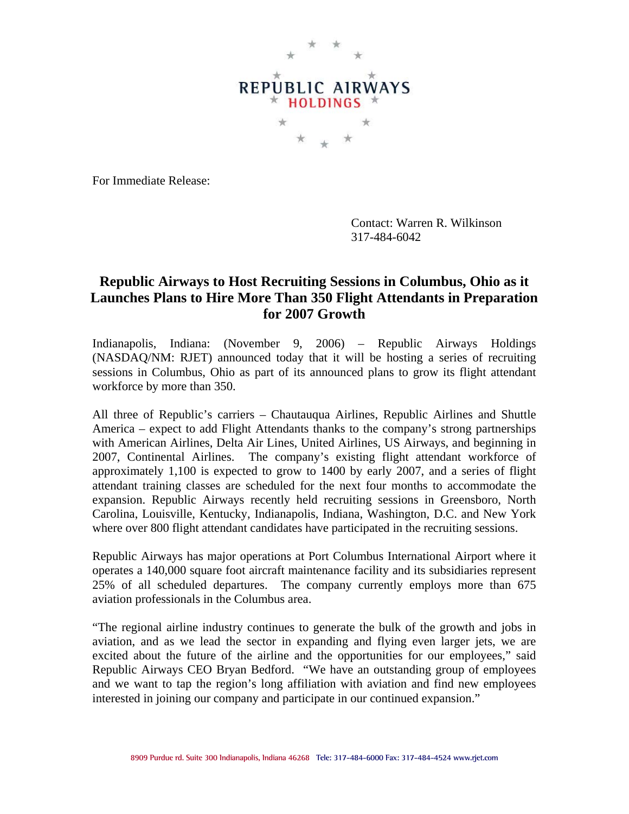

For Immediate Release:

Contact: Warren R. Wilkinson 317-484-6042

## **Republic Airways to Host Recruiting Sessions in Columbus, Ohio as it Launches Plans to Hire More Than 350 Flight Attendants in Preparation for 2007 Growth**

Indianapolis, Indiana: (November 9, 2006) – Republic Airways Holdings (NASDAQ/NM: RJET) announced today that it will be hosting a series of recruiting sessions in Columbus, Ohio as part of its announced plans to grow its flight attendant workforce by more than 350.

All three of Republic's carriers – Chautauqua Airlines, Republic Airlines and Shuttle America – expect to add Flight Attendants thanks to the company's strong partnerships with American Airlines, Delta Air Lines, United Airlines, US Airways, and beginning in 2007, Continental Airlines. The company's existing flight attendant workforce of approximately 1,100 is expected to grow to 1400 by early 2007, and a series of flight attendant training classes are scheduled for the next four months to accommodate the expansion. Republic Airways recently held recruiting sessions in Greensboro, North Carolina, Louisville, Kentucky, Indianapolis, Indiana, Washington, D.C. and New York where over 800 flight attendant candidates have participated in the recruiting sessions.

Republic Airways has major operations at Port Columbus International Airport where it operates a 140,000 square foot aircraft maintenance facility and its subsidiaries represent 25% of all scheduled departures. The company currently employs more than 675 aviation professionals in the Columbus area.

"The regional airline industry continues to generate the bulk of the growth and jobs in aviation, and as we lead the sector in expanding and flying even larger jets, we are excited about the future of the airline and the opportunities for our employees," said Republic Airways CEO Bryan Bedford. "We have an outstanding group of employees and we want to tap the region's long affiliation with aviation and find new employees interested in joining our company and participate in our continued expansion."